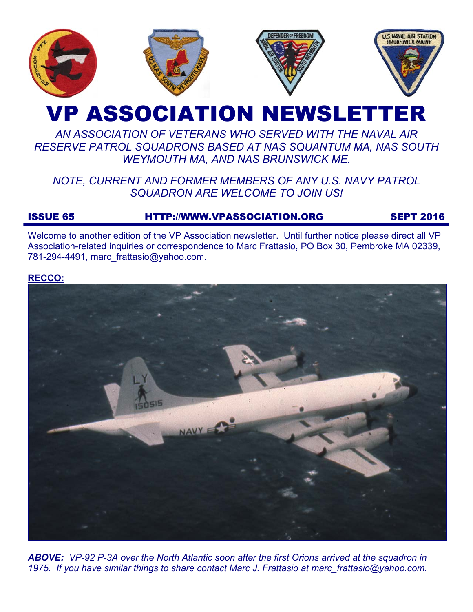

# VP ASSOCIATION NEWSLETTER

## *AN ASSOCIATION OF VETERANS WHO SERVED WITH THE NAVAL AIR RESERVE PATROL SQUADRONS BASED AT NAS SQUANTUM MA, NAS SOUTH WEYMOUTH MA, AND NAS BRUNSWICK ME.*

## *NOTE, CURRENT AND FORMER MEMBERS OF ANY U.S. NAVY PATROL SQUADRON ARE WELCOME TO JOIN US!*

## ISSUE 65 HTTP://WWW.VPASSOCIATION.ORG SEPT 2016

Welcome to another edition of the VP Association newsletter. Until further notice please direct all VP Association-related inquiries or correspondence to Marc Frattasio, PO Box 30, Pembroke MA 02339, 781-294-4491, marc\_frattasio@yahoo.com.

## **RECCO:**



*ABOVE: VP-92 P-3A over the North Atlantic soon after the first Orions arrived at the squadron in 1975. If you have similar things to share contact Marc J. Frattasio at marc\_frattasio@yahoo.com.*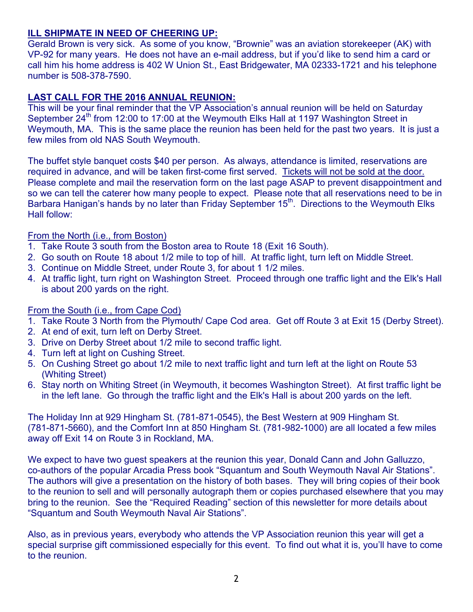## **ILL SHIPMATE IN NEED OF CHEERING UP:**

Gerald Brown is very sick. As some of you know, "Brownie" was an aviation storekeeper (AK) with VP-92 for many years. He does not have an e-mail address, but if you'd like to send him a card or call him his home address is 402 W Union St., East Bridgewater, MA 02333-1721 and his telephone number is 508-378-7590.

## **LAST CALL FOR THE 2016 ANNUAL REUNION:**

This will be your final reminder that the VP Association's annual reunion will be held on Saturday September 24<sup>th</sup> from 12:00 to 17:00 at the Weymouth Elks Hall at 1197 Washington Street in Weymouth, MA. This is the same place the reunion has been held for the past two years. It is just a few miles from old NAS South Weymouth.

The buffet style banquet costs \$40 per person. As always, attendance is limited, reservations are required in advance, and will be taken first-come first served. Tickets will not be sold at the door. Please complete and mail the reservation form on the last page ASAP to prevent disappointment and so we can tell the caterer how many people to expect. Please note that all reservations need to be in Barbara Hanigan's hands by no later than Friday September 15<sup>th</sup>. Directions to the Weymouth Elks Hall follow:

## From the North (i.e., from Boston)

- 1. Take Route 3 south from the Boston area to Route 18 (Exit 16 South).
- 2. Go south on Route 18 about 1/2 mile to top of hill. At traffic light, turn left on Middle Street.
- 3. Continue on Middle Street, under Route 3, for about 1 1/2 miles.
- 4. At traffic light, turn right on Washington Street. Proceed through one traffic light and the Elk's Hall is about 200 yards on the right.

## From the South (i.e., from Cape Cod)

- 1. Take Route 3 North from the Plymouth/ Cape Cod area. Get off Route 3 at Exit 15 (Derby Street).
- 2. At end of exit, turn left on Derby Street.
- 3. Drive on Derby Street about 1/2 mile to second traffic light.
- 4. Turn left at light on Cushing Street.
- 5. On Cushing Street go about 1/2 mile to next traffic light and turn left at the light on Route 53 (Whiting Street)
- 6. Stay north on Whiting Street (in Weymouth, it becomes Washington Street). At first traffic light be in the left lane. Go through the traffic light and the Elk's Hall is about 200 yards on the left.

The Holiday Inn at 929 Hingham St. (781-871-0545), the Best Western at 909 Hingham St. (781-871-5660), and the Comfort Inn at 850 Hingham St. (781-982-1000) are all located a few miles away off Exit 14 on Route 3 in Rockland, MA.

We expect to have two guest speakers at the reunion this year, Donald Cann and John Galluzzo, co-authors of the popular Arcadia Press book "Squantum and South Weymouth Naval Air Stations". The authors will give a presentation on the history of both bases. They will bring copies of their book to the reunion to sell and will personally autograph them or copies purchased elsewhere that you may bring to the reunion. See the "Required Reading" section of this newsletter for more details about "Squantum and South Weymouth Naval Air Stations".

Also, as in previous years, everybody who attends the VP Association reunion this year will get a special surprise gift commissioned especially for this event. To find out what it is, you'll have to come to the reunion.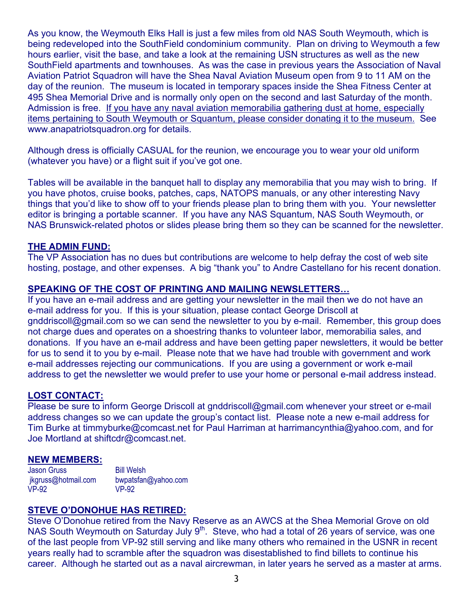As you know, the Weymouth Elks Hall is just a few miles from old NAS South Weymouth, which is being redeveloped into the SouthField condominium community. Plan on driving to Weymouth a few hours earlier, visit the base, and take a look at the remaining USN structures as well as the new SouthField apartments and townhouses. As was the case in previous years the Association of Naval Aviation Patriot Squadron will have the Shea Naval Aviation Museum open from 9 to 11 AM on the day of the reunion. The museum is located in temporary spaces inside the Shea Fitness Center at 495 Shea Memorial Drive and is normally only open on the second and last Saturday of the month. Admission is free. If you have any naval aviation memorabilia gathering dust at home, especially items pertaining to South Weymouth or Squantum, please consider donating it to the museum. See www.anapatriotsquadron.org for details.

Although dress is officially CASUAL for the reunion, we encourage you to wear your old uniform (whatever you have) or a flight suit if you've got one.

Tables will be available in the banquet hall to display any memorabilia that you may wish to bring. If you have photos, cruise books, patches, caps, NATOPS manuals, or any other interesting Navy things that you'd like to show off to your friends please plan to bring them with you. Your newsletter editor is bringing a portable scanner. If you have any NAS Squantum, NAS South Weymouth, or NAS Brunswick-related photos or slides please bring them so they can be scanned for the newsletter.

#### **THE ADMIN FUND:**

The VP Association has no dues but contributions are welcome to help defray the cost of web site hosting, postage, and other expenses. A big "thank you" to Andre Castellano for his recent donation.

## **SPEAKING OF THE COST OF PRINTING AND MAILING NEWSLETTERS…**

If you have an e-mail address and are getting your newsletter in the mail then we do not have an e-mail address for you. If this is your situation, please contact George Driscoll at gnddriscoll@gmail.com so we can send the newsletter to you by e-mail. Remember, this group does not charge dues and operates on a shoestring thanks to volunteer labor, memorabilia sales, and donations. If you have an e-mail address and have been getting paper newsletters, it would be better for us to send it to you by e-mail. Please note that we have had trouble with government and work e-mail addresses rejecting our communications. If you are using a government or work e-mail address to get the newsletter we would prefer to use your home or personal e-mail address instead.

#### **LOST CONTACT:**

Please be sure to inform George Driscoll at gnddriscoll@gmail.com whenever your street or e-mail address changes so we can update the group's contact list. Please note a new e-mail address for Tim Burke at timmyburke@comcast.net for Paul Harriman at harrimancynthia@yahoo.com, and for Joe Mortland at shiftcdr@comcast.net.

#### **NEW MEMBERS:**

Jason Gruss jkgruss@hotmail.com VP-92 Bill Welsh bwpatsfan@yahoo.com VP-92

#### **STEVE O'DONOHUE HAS RETIRED:**

Steve O'Donohue retired from the Navy Reserve as an AWCS at the Shea Memorial Grove on old NAS South Weymouth on Saturday July 9<sup>th</sup>. Steve, who had a total of 26 years of service, was one of the last people from VP-92 still serving and like many others who remained in the USNR in recent years really had to scramble after the squadron was disestablished to find billets to continue his career. Although he started out as a naval aircrewman, in later years he served as a master at arms.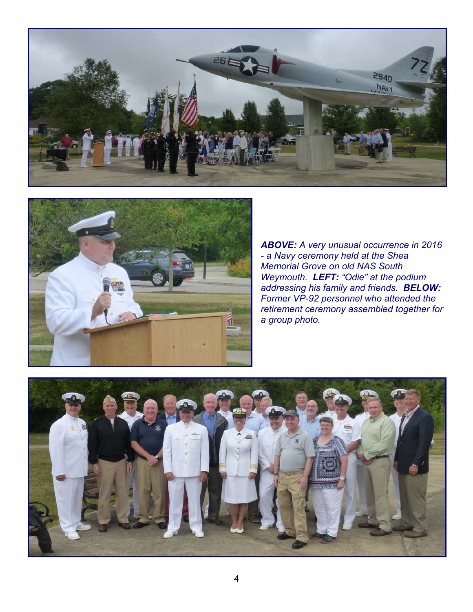



*ABOVE: A very unusual occurrence in 2016 - a Navy ceremony held at the Shea Memorial Grove on old NAS South Weymouth. LEFT: "Odie" at the podium addressing his family and friends. BELOW: Former VP-92 personnel who attended the retirement ceremony assembled together for a group photo.* 

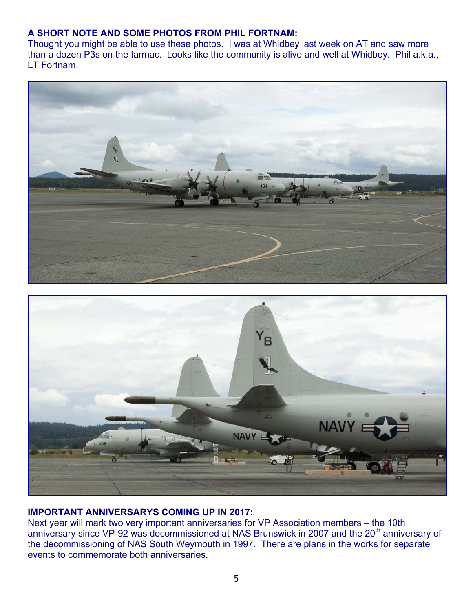## **A SHORT NOTE AND SOME PHOTOS FROM PHIL FORTNAM:**

Thought you might be able to use these photos. I was at Whidbey last week on AT and saw more than a dozen P3s on the tarmac. Looks like the community is alive and well at Whidbey. Phil a.k.a., LT Fortnam.





## **IMPORTANT ANNIVERSARYS COMING UP IN 2017:**

Next year will mark two very important anniversaries for VP Association members – the 10th anniversary since VP-92 was decommissioned at NAS Brunswick in 2007 and the 20<sup>th</sup> anniversary of the decommissioning of NAS South Weymouth in 1997. There are plans in the works for separate events to commemorate both anniversaries.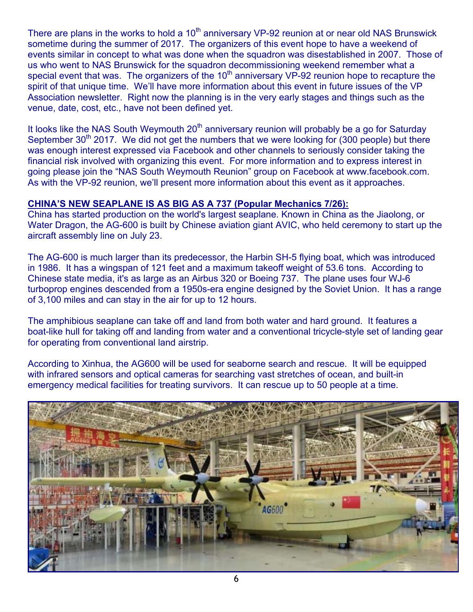There are plans in the works to hold a 10<sup>th</sup> anniversary VP-92 reunion at or near old NAS Brunswick sometime during the summer of 2017. The organizers of this event hope to have a weekend of events similar in concept to what was done when the squadron was disestablished in 2007. Those of us who went to NAS Brunswick for the squadron decommissioning weekend remember what a special event that was. The organizers of the  $10<sup>th</sup>$  anniversary VP-92 reunion hope to recapture the spirit of that unique time. We'll have more information about this event in future issues of the VP Association newsletter. Right now the planning is in the very early stages and things such as the venue, date, cost, etc., have not been defined yet.

It looks like the NAS South Weymouth  $20<sup>th</sup>$  anniversary reunion will probably be a go for Saturday September  $30<sup>th</sup>$  2017. We did not get the numbers that we were looking for (300 people) but there was enough interest expressed via Facebook and other channels to seriously consider taking the financial risk involved with organizing this event. For more information and to express interest in going please join the "NAS South Weymouth Reunion" group on Facebook at www.facebook.com. As with the VP-92 reunion, we'll present more information about this event as it approaches.

## **CHINA'S NEW SEAPLANE IS AS BIG AS A 737 (Popular Mechanics 7/26):**

China has started production on the world's largest seaplane. Known in China as the Jiaolong, or Water Dragon, the AG-600 is built by Chinese aviation giant AVIC, who held ceremony to start up the aircraft assembly line on July 23.

The AG-600 is much larger than its predecessor, the Harbin SH-5 flying boat, which was introduced in 1986. It has a wingspan of 121 feet and a maximum takeoff weight of 53.6 tons. According to Chinese state media, it's as large as an Airbus 320 or Boeing 737. The plane uses four WJ-6 turboprop engines descended from a 1950s-era engine designed by the Soviet Union. It has a range of 3,100 miles and can stay in the air for up to 12 hours.

The amphibious seaplane can take off and land from both water and hard ground. It features a boat-like hull for taking off and landing from water and a conventional tricycle-style set of landing gear for operating from conventional land airstrip.

According to Xinhua, the AG600 will be used for seaborne search and rescue. It will be equipped with infrared sensors and optical cameras for searching vast stretches of ocean, and built-in emergency medical facilities for treating survivors. It can rescue up to 50 people at a time.

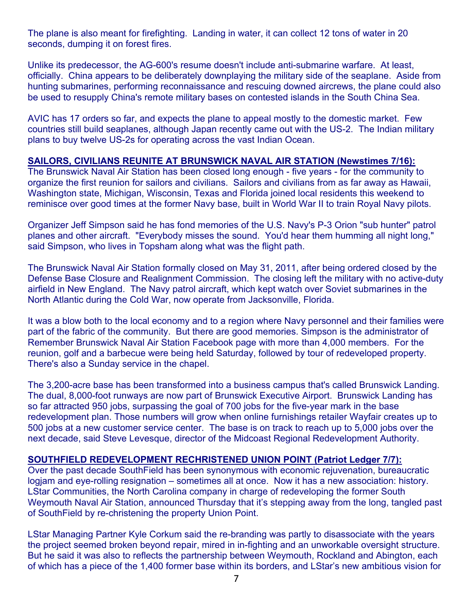The plane is also meant for firefighting. Landing in water, it can collect 12 tons of water in 20 seconds, dumping it on forest fires.

Unlike its predecessor, the AG-600's resume doesn't include anti-submarine warfare. At least, officially. China appears to be deliberately downplaying the military side of the seaplane. Aside from hunting submarines, performing reconnaissance and rescuing downed aircrews, the plane could also be used to resupply China's remote military bases on contested islands in the South China Sea.

AVIC has 17 orders so far, and expects the plane to appeal mostly to the domestic market. Few countries still build seaplanes, although Japan recently came out with the US-2. The Indian military plans to buy twelve US-2s for operating across the vast Indian Ocean.

## **SAILORS, CIVILIANS REUNITE AT BRUNSWICK NAVAL AIR STATION (Newstimes 7/16):**

The Brunswick Naval Air Station has been closed long enough - five years - for the community to organize the first reunion for sailors and civilians. Sailors and civilians from as far away as Hawaii, Washington state, Michigan, Wisconsin, Texas and Florida joined local residents this weekend to reminisce over good times at the former Navy base, built in World War II to train Royal Navy pilots.

Organizer Jeff Simpson said he has fond memories of the U.S. Navy's P-3 Orion "sub hunter" patrol planes and other aircraft. "Everybody misses the sound. You'd hear them humming all night long," said Simpson, who lives in Topsham along what was the flight path.

The Brunswick Naval Air Station formally closed on May 31, 2011, after being ordered closed by the Defense Base Closure and Realignment Commission. The closing left the military with no active-duty airfield in New England. The Navy patrol aircraft, which kept watch over Soviet submarines in the North Atlantic during the Cold War, now operate from Jacksonville, Florida.

It was a blow both to the local economy and to a region where Navy personnel and their families were part of the fabric of the community. But there are good memories. Simpson is the administrator of Remember Brunswick Naval Air Station Facebook page with more than 4,000 members. For the reunion, golf and a barbecue were being held Saturday, followed by tour of redeveloped property. There's also a Sunday service in the chapel.

The 3,200-acre base has been transformed into a business campus that's called Brunswick Landing. The dual, 8,000-foot runways are now part of Brunswick Executive Airport. Brunswick Landing has so far attracted 950 jobs, surpassing the goal of 700 jobs for the five-year mark in the base redevelopment plan. Those numbers will grow when online furnishings retailer Wayfair creates up to 500 jobs at a new customer service center. The base is on track to reach up to 5,000 jobs over the next decade, said Steve Levesque, director of the Midcoast Regional Redevelopment Authority.

#### **SOUTHFIELD REDEVELOPMENT RECHRISTENED UNION POINT (Patriot Ledger 7/7):**

Over the past decade SouthField has been synonymous with economic rejuvenation, bureaucratic logjam and eye-rolling resignation – sometimes all at once. Now it has a new association: history. LStar Communities, the North Carolina company in charge of redeveloping the former South Weymouth Naval Air Station, announced Thursday that it's stepping away from the long, tangled past of SouthField by re-christening the property Union Point.

LStar Managing Partner Kyle Corkum said the re-branding was partly to disassociate with the years the project seemed broken beyond repair, mired in in-fighting and an unworkable oversight structure. But he said it was also to reflects the partnership between Weymouth, Rockland and Abington, each of which has a piece of the 1,400 former base within its borders, and LStar's new ambitious vision for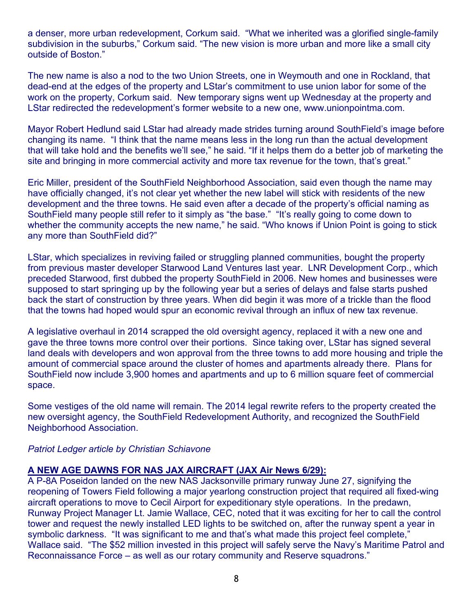a denser, more urban redevelopment, Corkum said. "What we inherited was a glorified single-family subdivision in the suburbs," Corkum said. "The new vision is more urban and more like a small city outside of Boston."

The new name is also a nod to the two Union Streets, one in Weymouth and one in Rockland, that dead-end at the edges of the property and LStar's commitment to use union labor for some of the work on the property, Corkum said. New temporary signs went up Wednesday at the property and LStar redirected the redevelopment's former website to a new one, www.unionpointma.com.

Mayor Robert Hedlund said LStar had already made strides turning around SouthField's image before changing its name. "I think that the name means less in the long run than the actual development that will take hold and the benefits we'll see," he said. "If it helps them do a better job of marketing the site and bringing in more commercial activity and more tax revenue for the town, that's great."

Eric Miller, president of the SouthField Neighborhood Association, said even though the name may have officially changed, it's not clear yet whether the new label will stick with residents of the new development and the three towns. He said even after a decade of the property's official naming as SouthField many people still refer to it simply as "the base." "It's really going to come down to whether the community accepts the new name," he said. "Who knows if Union Point is going to stick any more than SouthField did?"

LStar, which specializes in reviving failed or struggling planned communities, bought the property from previous master developer Starwood Land Ventures last year. LNR Development Corp., which preceded Starwood, first dubbed the property SouthField in 2006. New homes and businesses were supposed to start springing up by the following year but a series of delays and false starts pushed back the start of construction by three years. When did begin it was more of a trickle than the flood that the towns had hoped would spur an economic revival through an influx of new tax revenue.

A legislative overhaul in 2014 scrapped the old oversight agency, replaced it with a new one and gave the three towns more control over their portions. Since taking over, LStar has signed several land deals with developers and won approval from the three towns to add more housing and triple the amount of commercial space around the cluster of homes and apartments already there. Plans for SouthField now include 3,900 homes and apartments and up to 6 million square feet of commercial space.

Some vestiges of the old name will remain. The 2014 legal rewrite refers to the property created the new oversight agency, the SouthField Redevelopment Authority, and recognized the SouthField Neighborhood Association.

## *Patriot Ledger article by Christian Schiavone*

## **A NEW AGE DAWNS FOR NAS JAX AIRCRAFT (JAX Air News 6/29):**

A P-8A Poseidon landed on the new NAS Jacksonville primary runway June 27, signifying the reopening of Towers Field following a major yearlong construction project that required all fixed-wing aircraft operations to move to Cecil Airport for expeditionary style operations. In the predawn, Runway Project Manager Lt. Jamie Wallace, CEC, noted that it was exciting for her to call the control tower and request the newly installed LED lights to be switched on, after the runway spent a year in symbolic darkness. "It was significant to me and that's what made this project feel complete," Wallace said. "The \$52 million invested in this project will safely serve the Navy's Maritime Patrol and Reconnaissance Force – as well as our rotary community and Reserve squadrons."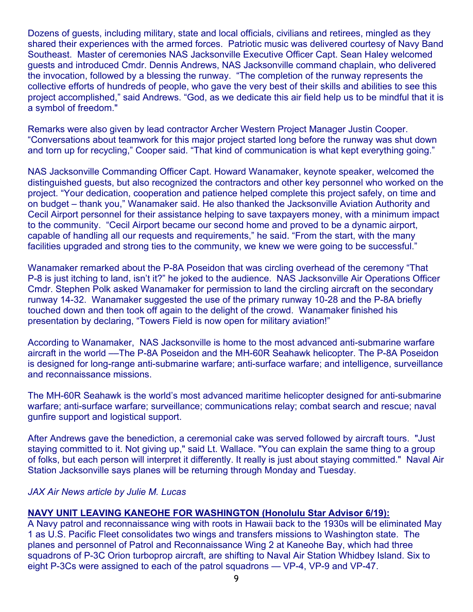Dozens of guests, including military, state and local officials, civilians and retirees, mingled as they shared their experiences with the armed forces. Patriotic music was delivered courtesy of Navy Band Southeast. Master of ceremonies NAS Jacksonville Executive Officer Capt. Sean Haley welcomed guests and introduced Cmdr. Dennis Andrews, NAS Jacksonville command chaplain, who delivered the invocation, followed by a blessing the runway. "The completion of the runway represents the collective efforts of hundreds of people, who gave the very best of their skills and abilities to see this project accomplished," said Andrews. "God, as we dedicate this air field help us to be mindful that it is a symbol of freedom."

Remarks were also given by lead contractor Archer Western Project Manager Justin Cooper. "Conversations about teamwork for this major project started long before the runway was shut down and torn up for recycling," Cooper said. "That kind of communication is what kept everything going."

NAS Jacksonville Commanding Officer Capt. Howard Wanamaker, keynote speaker, welcomed the distinguished guests, but also recognized the contractors and other key personnel who worked on the project. "Your dedication, cooperation and patience helped complete this project safely, on time and on budget – thank you," Wanamaker said. He also thanked the Jacksonville Aviation Authority and Cecil Airport personnel for their assistance helping to save taxpayers money, with a minimum impact to the community. "Cecil Airport became our second home and proved to be a dynamic airport, capable of handling all our requests and requirements," he said. "From the start, with the many facilities upgraded and strong ties to the community, we knew we were going to be successful."

Wanamaker remarked about the P-8A Poseidon that was circling overhead of the ceremony "That P-8 is just itching to land, isn't it?" he joked to the audience. NAS Jacksonville Air Operations Officer Cmdr. Stephen Polk asked Wanamaker for permission to land the circling aircraft on the secondary runway 14-32. Wanamaker suggested the use of the primary runway 10-28 and the P-8A briefly touched down and then took off again to the delight of the crowd. Wanamaker finished his presentation by declaring, "Towers Field is now open for military aviation!"

According to Wanamaker, NAS Jacksonville is home to the most advanced anti-submarine warfare aircraft in the world ––The P-8A Poseidon and the MH-60R Seahawk helicopter. The P-8A Poseidon is designed for long-range anti-submarine warfare; anti-surface warfare; and intelligence, surveillance and reconnaissance missions.

The MH-60R Seahawk is the world's most advanced maritime helicopter designed for anti-submarine warfare; anti-surface warfare; surveillance; communications relay; combat search and rescue; naval gunfire support and logistical support.

After Andrews gave the benediction, a ceremonial cake was served followed by aircraft tours. "Just staying committed to it. Not giving up," said Lt. Wallace. "You can explain the same thing to a group of folks, but each person will interpret it differently. It really is just about staying committed." Naval Air Station Jacksonville says planes will be returning through Monday and Tuesday.

#### *JAX Air News article by Julie M. Lucas*

## **NAVY UNIT LEAVING KANEOHE FOR WASHINGTON (Honolulu Star Advisor 6/19):**

A Navy patrol and reconnaissance wing with roots in Hawaii back to the 1930s will be eliminated May 1 as U.S. Pacific Fleet consolidates two wings and transfers missions to Washington state. The planes and personnel of Patrol and Reconnaissance Wing 2 at Kaneohe Bay, which had three squadrons of P-3C Orion turboprop aircraft, are shifting to Naval Air Station Whidbey Island. Six to eight P-3Cs were assigned to each of the patrol squadrons — VP-4, VP-9 and VP-47.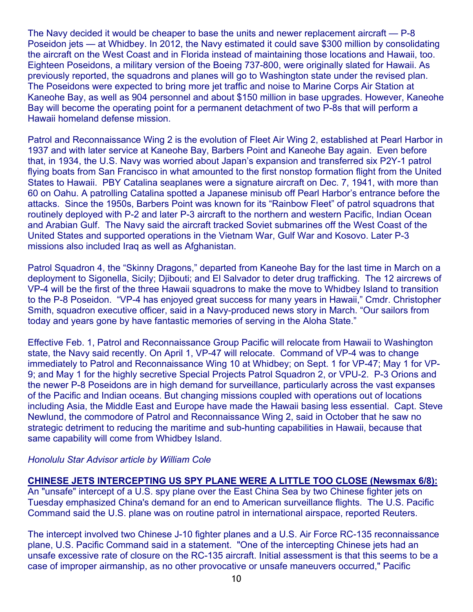The Navy decided it would be cheaper to base the units and newer replacement aircraft — P-8 Poseidon jets — at Whidbey. In 2012, the Navy estimated it could save \$300 million by consolidating the aircraft on the West Coast and in Florida instead of maintaining those locations and Hawaii, too. Eighteen Poseidons, a military version of the Boeing 737-800, were originally slated for Hawaii. As previously reported, the squadrons and planes will go to Washington state under the revised plan. The Poseidons were expected to bring more jet traffic and noise to Marine Corps Air Station at Kaneohe Bay, as well as 904 personnel and about \$150 million in base upgrades. However, Kaneohe Bay will become the operating point for a permanent detachment of two P-8s that will perform a Hawaii homeland defense mission.

Patrol and Reconnaissance Wing 2 is the evolution of Fleet Air Wing 2, established at Pearl Harbor in 1937 and with later service at Kaneohe Bay, Barbers Point and Kaneohe Bay again. Even before that, in 1934, the U.S. Navy was worried about Japan's expansion and transferred six P2Y-1 patrol flying boats from San Francisco in what amounted to the first nonstop formation flight from the United States to Hawaii. PBY Catalina seaplanes were a signature aircraft on Dec. 7, 1941, with more than 60 on Oahu. A patrolling Catalina spotted a Japanese minisub off Pearl Harbor's entrance before the attacks. Since the 1950s, Barbers Point was known for its "Rainbow Fleet" of patrol squadrons that routinely deployed with P-2 and later P-3 aircraft to the northern and western Pacific, Indian Ocean and Arabian Gulf. The Navy said the aircraft tracked Soviet submarines off the West Coast of the United States and supported operations in the Vietnam War, Gulf War and Kosovo. Later P-3 missions also included Iraq as well as Afghanistan.

Patrol Squadron 4, the "Skinny Dragons," departed from Kaneohe Bay for the last time in March on a deployment to Sigonella, Sicily; Djibouti; and El Salvador to deter drug trafficking. The 12 aircrews of VP-4 will be the first of the three Hawaii squadrons to make the move to Whidbey Island to transition to the P-8 Poseidon. "VP-4 has enjoyed great success for many years in Hawaii," Cmdr. Christopher Smith, squadron executive officer, said in a Navy-produced news story in March. "Our sailors from today and years gone by have fantastic memories of serving in the Aloha State."

Effective Feb. 1, Patrol and Reconnaissance Group Pacific will relocate from Hawaii to Washington state, the Navy said recently. On April 1, VP-47 will relocate. Command of VP-4 was to change immediately to Patrol and Reconnaissance Wing 10 at Whidbey; on Sept. 1 for VP-47; May 1 for VP-9; and May 1 for the highly secretive Special Projects Patrol Squadron 2, or VPU-2. P-3 Orions and the newer P-8 Poseidons are in high demand for surveillance, particularly across the vast expanses of the Pacific and Indian oceans. But changing missions coupled with operations out of locations including Asia, the Middle East and Europe have made the Hawaii basing less essential. Capt. Steve Newlund, the commodore of Patrol and Reconnaissance Wing 2, said in October that he saw no strategic detriment to reducing the maritime and sub-hunting capabilities in Hawaii, because that same capability will come from Whidbey Island.

## *Honolulu Star Advisor article by William Cole*

#### **CHINESE JETS INTERCEPTING US SPY PLANE WERE A LITTLE TOO CLOSE (Newsmax 6/8):** An "unsafe" intercept of a U.S. spy plane over the East China Sea by two Chinese fighter jets on Tuesday emphasized China's demand for an end to American surveillance flights. The U.S. Pacific

Command said the U.S. plane was on routine patrol in international airspace, reported Reuters.

The intercept involved two Chinese J-10 fighter planes and a U.S. Air Force RC-135 reconnaissance plane, U.S. Pacific Command said in a statement. "One of the intercepting Chinese jets had an unsafe excessive rate of closure on the RC-135 aircraft. Initial assessment is that this seems to be a case of improper airmanship, as no other provocative or unsafe maneuvers occurred," Pacific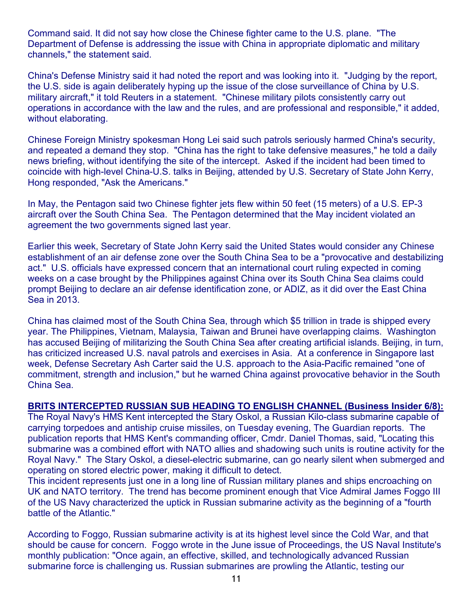Command said. It did not say how close the Chinese fighter came to the U.S. plane. "The Department of Defense is addressing the issue with China in appropriate diplomatic and military channels," the statement said.

China's Defense Ministry said it had noted the report and was looking into it. "Judging by the report, the U.S. side is again deliberately hyping up the issue of the close surveillance of China by U.S. military aircraft," it told Reuters in a statement. "Chinese military pilots consistently carry out operations in accordance with the law and the rules, and are professional and responsible," it added, without elaborating.

Chinese Foreign Ministry spokesman Hong Lei said such patrols seriously harmed China's security, and repeated a demand they stop. "China has the right to take defensive measures," he told a daily news briefing, without identifying the site of the intercept. Asked if the incident had been timed to coincide with high-level China-U.S. talks in Beijing, attended by U.S. Secretary of State John Kerry, Hong responded, "Ask the Americans."

In May, the Pentagon said two Chinese fighter jets flew within 50 feet (15 meters) of a U.S. EP-3 aircraft over the South China Sea. The Pentagon determined that the May incident violated an agreement the two governments signed last year.

Earlier this week, Secretary of State John Kerry said the United States would consider any Chinese establishment of an air defense zone over the South China Sea to be a "provocative and destabilizing act." U.S. officials have expressed concern that an international court ruling expected in coming weeks on a case brought by the Philippines against China over its South China Sea claims could prompt Beijing to declare an air defense identification zone, or ADIZ, as it did over the East China Sea in 2013.

China has claimed most of the South China Sea, through which \$5 trillion in trade is shipped every year. The Philippines, Vietnam, Malaysia, Taiwan and Brunei have overlapping claims. Washington has accused Beijing of militarizing the South China Sea after creating artificial islands. Beijing, in turn, has criticized increased U.S. naval patrols and exercises in Asia. At a conference in Singapore last week, Defense Secretary Ash Carter said the U.S. approach to the Asia-Pacific remained "one of commitment, strength and inclusion," but he warned China against provocative behavior in the South China Sea.

## **BRITS INTERCEPTED RUSSIAN SUB HEADING TO ENGLISH CHANNEL (Business Insider 6/8):**

The Royal Navy's HMS Kent intercepted the Stary Oskol, a Russian Kilo-class submarine capable of carrying torpedoes and antiship cruise missiles, on Tuesday evening, The Guardian reports. The publication reports that HMS Kent's commanding officer, Cmdr. Daniel Thomas, said, "Locating this submarine was a combined effort with NATO allies and shadowing such units is routine activity for the Royal Navy." The Stary Oskol, a diesel-electric submarine, can go nearly silent when submerged and operating on stored electric power, making it difficult to detect.

This incident represents just one in a long line of Russian military planes and ships encroaching on UK and NATO territory. The trend has become prominent enough that Vice Admiral James Foggo III of the US Navy characterized the uptick in Russian submarine activity as the beginning of a "fourth battle of the Atlantic."

According to Foggo, Russian submarine activity is at its highest level since the Cold War, and that should be cause for concern. Foggo wrote in the June issue of Proceedings, the US Naval Institute's monthly publication: "Once again, an effective, skilled, and technologically advanced Russian submarine force is challenging us. Russian submarines are prowling the Atlantic, testing our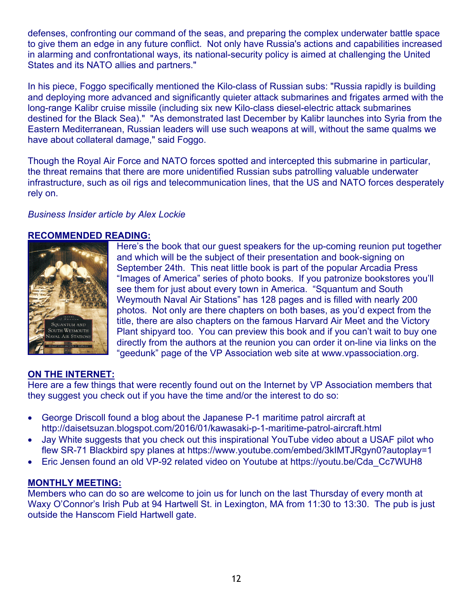defenses, confronting our command of the seas, and preparing the complex underwater battle space to give them an edge in any future conflict. Not only have Russia's actions and capabilities increased in alarming and confrontational ways, its national-security policy is aimed at challenging the United States and its NATO allies and partners."

In his piece, Foggo specifically mentioned the Kilo-class of Russian subs: "Russia rapidly is building and deploying more advanced and significantly quieter attack submarines and frigates armed with the long-range Kalibr cruise missile (including six new Kilo-class diesel-electric attack submarines destined for the Black Sea)." "As demonstrated last December by Kalibr launches into Syria from the Eastern Mediterranean, Russian leaders will use such weapons at will, without the same qualms we have about collateral damage," said Foggo.

Though the Royal Air Force and NATO forces spotted and intercepted this submarine in particular, the threat remains that there are more unidentified Russian subs patrolling valuable underwater infrastructure, such as oil rigs and telecommunication lines, that the US and NATO forces desperately rely on.

## *Business Insider article by Alex Lockie*

## **RECOMMENDED READING:**



Here's the book that our guest speakers for the up-coming reunion put together and which will be the subject of their presentation and book-signing on September 24th. This neat little book is part of the popular Arcadia Press "Images of America" series of photo books. If you patronize bookstores you'll see them for just about every town in America. "Squantum and South Weymouth Naval Air Stations" has 128 pages and is filled with nearly 200 photos. Not only are there chapters on both bases, as you'd expect from the title, there are also chapters on the famous Harvard Air Meet and the Victory Plant shipyard too. You can preview this book and if you can't wait to buy one directly from the authors at the reunion you can order it on-line via links on the "geedunk" page of the VP Association web site at www.vpassociation.org.

## **ON THE INTERNET:**

Here are a few things that were recently found out on the Internet by VP Association members that they suggest you check out if you have the time and/or the interest to do so:

- George Driscoll found a blog about the Japanese P-1 maritime patrol aircraft at http://daisetsuzan.blogspot.com/2016/01/kawasaki-p-1-maritime-patrol-aircraft.html
- Jay White suggests that you check out this inspirational YouTube video about a USAF pilot who flew SR-71 Blackbird spy planes at https://www.youtube.com/embed/3kIMTJRgyn0?autoplay=1
- Eric Jensen found an old VP-92 related video on Youtube at https://youtu.be/Cda\_Cc7WUH8

## **MONTHLY MEETING:**

Members who can do so are welcome to join us for lunch on the last Thursday of every month at Waxy O'Connor's Irish Pub at 94 Hartwell St. in Lexington, MA from 11:30 to 13:30. The pub is just outside the Hanscom Field Hartwell gate.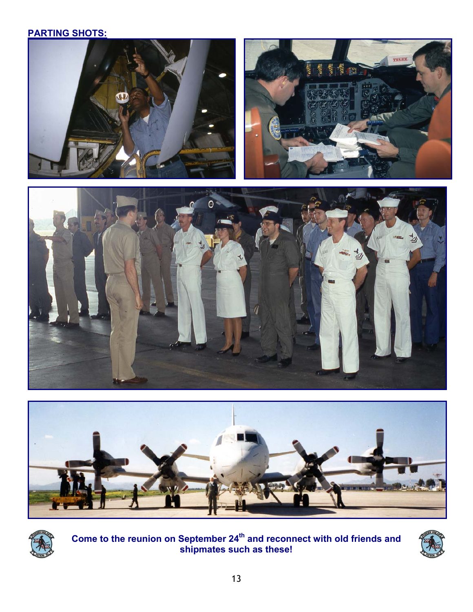## **PARTING SHOTS:**











Come to the reunion on September 24<sup>th</sup> and reconnect with old friends and **shipmates such as these!**